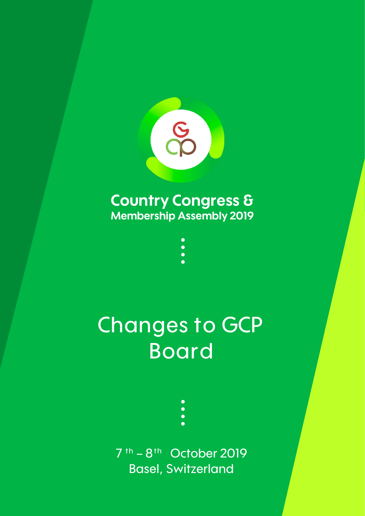

## **Country Congress & Membership Assembly 2019**

 $\bullet$   $\bullet$ 

**Changes to GCP Board** 

> **7 t h – 8 t h October 2019 Basel, Switzerland**

 $\bullet$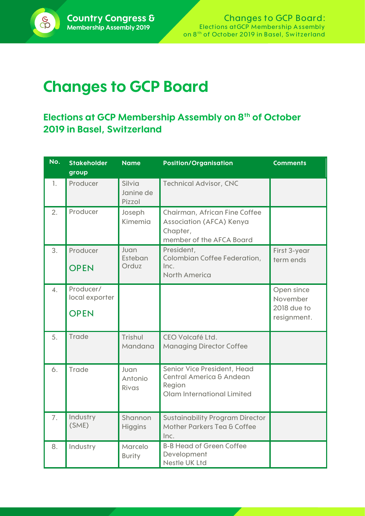## **Changes to GCP Board**

## **Elections at GCP Membership Assembly on 8th of October 2019 in Basel, Switzerland**

| No.              | <b>Stakeholder</b><br>group                | <b>Name</b>                   | <b>Position/Organisation</b>                                                                               | <b>Comments</b>                                      |
|------------------|--------------------------------------------|-------------------------------|------------------------------------------------------------------------------------------------------------|------------------------------------------------------|
| 1.               | Producer                                   | Silvia<br>Janine de<br>Pizzol | <b>Technical Advisor, CNC</b>                                                                              |                                                      |
| 2.               | Producer                                   | Joseph<br>Kimemia             | Chairman, African Fine Coffee<br>Association (AFCA) Kenya<br>Chapter,<br>member of the AFCA Board          |                                                      |
| 3.               | Producer<br><b>OPEN</b>                    | Juan<br>Esteban<br>Orduz      | President,<br>Colombian Coffee Federation,<br>Inc.<br><b>North America</b>                                 | First 3-year<br>term ends                            |
| $\overline{4}$ . | Producer/<br>local exporter<br><b>OPEN</b> |                               |                                                                                                            | Open since<br>November<br>2018 due to<br>resignment. |
| 5.               | <b>Trade</b>                               | Trishul<br>Mandana            | CEO Volcafé Ltd.<br><b>Managing Director Coffee</b>                                                        |                                                      |
| 6.               | <b>Trade</b>                               | Juan<br>Antonio<br>Rivas      | Senior Vice President, Head<br><b>Central America &amp; Andean</b><br>Region<br>Olam International Limited |                                                      |
| 7.               | Industry<br>(SME)                          | Shannon<br><b>Higgins</b>     | <b>Sustainability Program Director</b><br>Mother Parkers Tea & Coffee<br>Inc.                              |                                                      |
| 8.               | Industry                                   | Marcelo<br><b>Burity</b>      | <b>B-B Head of Green Coffee</b><br>Development<br><b>Nestle UK Ltd</b>                                     |                                                      |